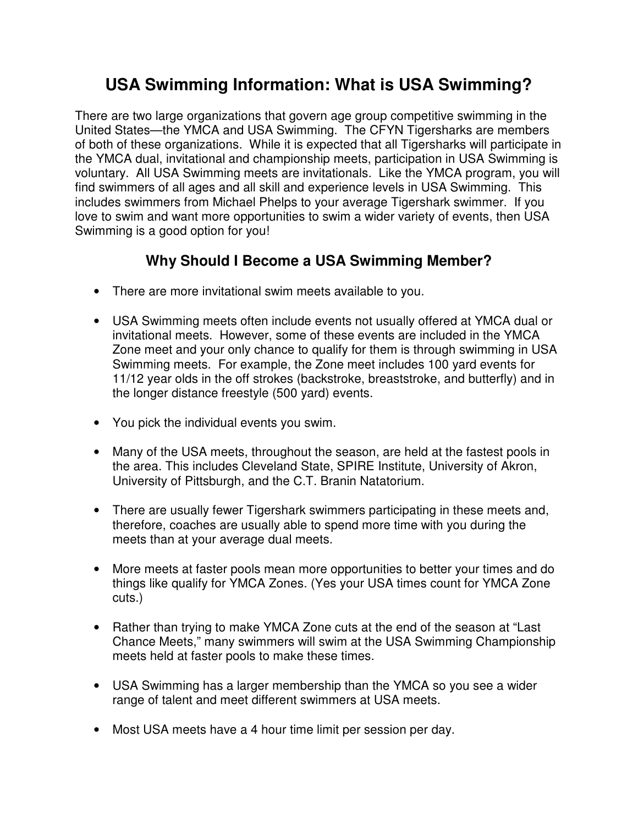## **USA Swimming Information: What is USA Swimming?**

There are two large organizations that govern age group competitive swimming in the United States—the YMCA and USA Swimming. The CFYN Tigersharks are members of both of these organizations. While it is expected that all Tigersharks will participate in the YMCA dual, invitational and championship meets, participation in USA Swimming is voluntary. All USA Swimming meets are invitationals. Like the YMCA program, you will find swimmers of all ages and all skill and experience levels in USA Swimming. This includes swimmers from Michael Phelps to your average Tigershark swimmer. If you love to swim and want more opportunities to swim a wider variety of events, then USA Swimming is a good option for you!

## **Why Should I Become a USA Swimming Member?**

- There are more invitational swim meets available to you.
- USA Swimming meets often include events not usually offered at YMCA dual or invitational meets. However, some of these events are included in the YMCA Zone meet and your only chance to qualify for them is through swimming in USA Swimming meets. For example, the Zone meet includes 100 yard events for 11/12 year olds in the off strokes (backstroke, breaststroke, and butterfly) and in the longer distance freestyle (500 yard) events.
- You pick the individual events you swim.
- Many of the USA meets, throughout the season, are held at the fastest pools in the area. This includes Cleveland State, SPIRE Institute, University of Akron, University of Pittsburgh, and the C.T. Branin Natatorium.
- There are usually fewer Tigershark swimmers participating in these meets and, therefore, coaches are usually able to spend more time with you during the meets than at your average dual meets.
- More meets at faster pools mean more opportunities to better your times and do things like qualify for YMCA Zones. (Yes your USA times count for YMCA Zone cuts.)
- Rather than trying to make YMCA Zone cuts at the end of the season at "Last Chance Meets," many swimmers will swim at the USA Swimming Championship meets held at faster pools to make these times.
- USA Swimming has a larger membership than the YMCA so you see a wider range of talent and meet different swimmers at USA meets.
- Most USA meets have a 4 hour time limit per session per day.